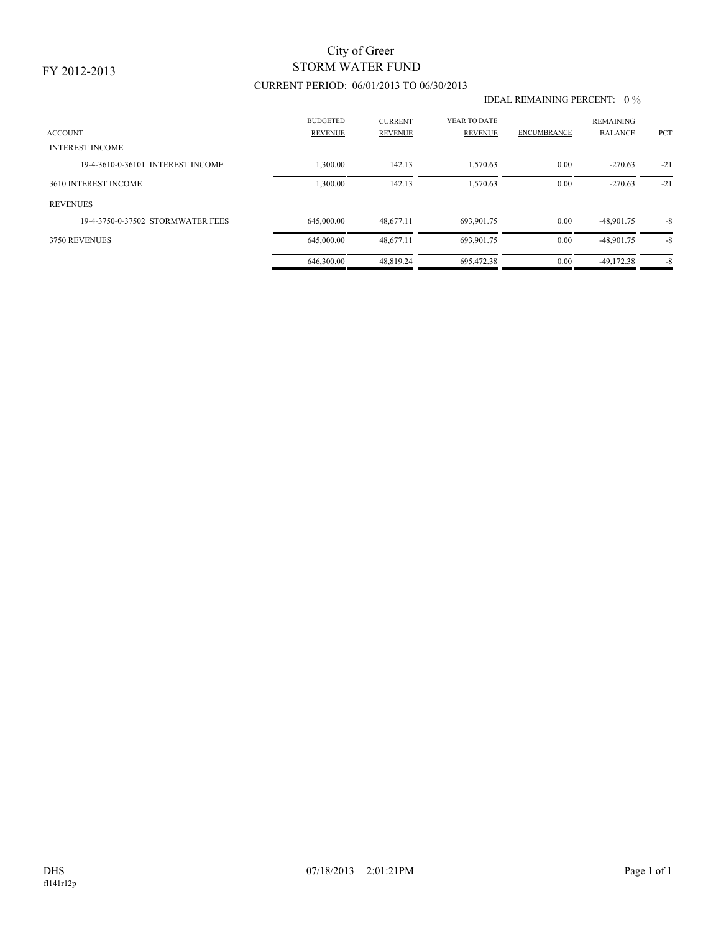# STORM WATER FUND City of Greer

## CURRENT PERIOD: 06/01/2013 TO 06/30/2013

#### IDEAL REMAINING PERCENT: 0 %

| <b>ACCOUNT</b>                    | <b>BUDGETED</b><br><b>REVENUE</b> | <b>CURRENT</b><br><b>REVENUE</b> | YEAR TO DATE<br><b>REVENUE</b> | <b>ENCUMBRANCE</b> | <b>REMAINING</b><br><b>BALANCE</b> | <b>PCT</b> |
|-----------------------------------|-----------------------------------|----------------------------------|--------------------------------|--------------------|------------------------------------|------------|
| <b>INTEREST INCOME</b>            |                                   |                                  |                                |                    |                                    |            |
| 19-4-3610-0-36101 INTEREST INCOME | .300.00                           | 142.13                           | 1,570.63                       | 0.00               | $-270.63$                          | $-21$      |
| 3610 INTEREST INCOME              | 1,300.00                          | 142.13                           | 1.570.63                       | 0.00               | $-270.63$                          | $-21$      |
| <b>REVENUES</b>                   |                                   |                                  |                                |                    |                                    |            |
| 19-4-3750-0-37502 STORMWATER FEES | 645,000.00                        | 48,677.11                        | 693,901.75                     | 0.00               | $-48,901.75$                       | $-8$       |
| 3750 REVENUES                     | 645,000.00                        | 48,677.11                        | 693,901.75                     | 0.00               | $-48,901.75$                       | $-8$       |
|                                   | 646,300.00                        | 48.819.24                        | 695.472.38                     | 0.00               | $-49.172.38$                       | $-8$       |